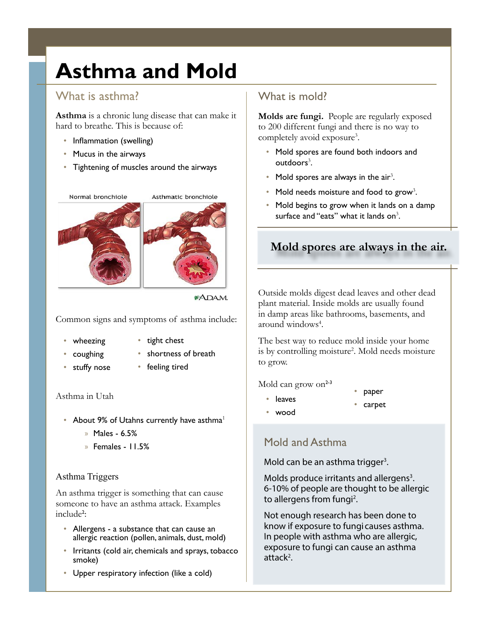# **Asthma and Mold**

## What is asthma?

**Asthma** is a chronic lung disease that can make it hard to breathe. This is because of:

- Inflammation (swelling)
- Mucus in the airways
- Tightening of muscles around the airways



#### \*ADAM.

Common signs and symptoms of asthma include:

• wheezing

• stuffy nose

- coughing
- tight chest shortness of breath
- 
- feeling tired

#### Asthma in Utah

- About 9% of Utahns currently have asthma $<sup>1</sup>$ </sup>
	- x Males 6.5%
	- x Females 11.5%

#### Asthma Triggers

An asthma trigger is something that can cause someone to have an asthma attack. Examples include<sup>2</sup>:

- Allergens a substance that can cause an allergic reaction (pollen, animals, dust, mold)
- Irritants (cold air, chemicals and sprays, tobacco smoke)
- Upper respiratory infection (like a cold)

### What is mold?

**Molds are fungi.** People are regularly exposed to 200 different fungi and there is no way to completely avoid exposure<sup>3</sup>.

- Mold spores are found both indoors and outdoors<sup>3</sup>.
- Mold spores are always in the air<sup>3</sup>.
- Mold needs moisture and food to grow<sup>3</sup>.
- Mold begins to grow when it lands on a damp surface and "eats" what it lands on $3$ .

## **Mold spores are always in the air.**

Outside molds digest dead leaves and other dead plant material. Inside molds are usually found in damp areas like bathrooms, basements, and around windows<sup>4</sup>.

The best way to reduce mold inside your home is by controlling moisture<sup>2</sup>. Mold needs moisture to grow.

Mold can grow on $2-3$ 

- leaves
- paper
- wood
- carpet

### Mold and Asthma

Mold can be an asthma trigger<sup>3</sup>.

Molds produce irritants and allergens<sup>3</sup>. 6-10% of people are thought to be allergic to allergens from fungi<sup>2</sup>.

Not enough research has been done to know if exposure to fungi causes asthma. In people with asthma who are allergic, exposure to fungi can cause an asthma attack<sup>2</sup>.